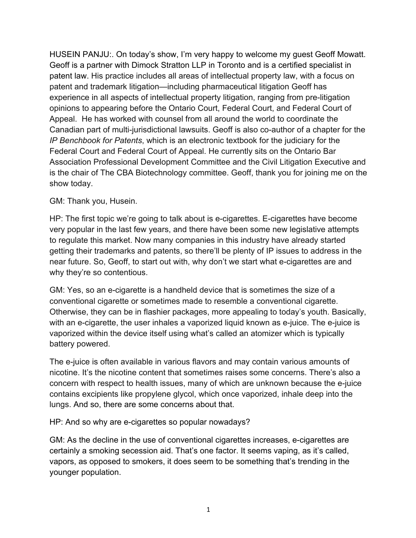HUSEIN PANJU:. On today's show, I'm very happy to welcome my guest Geoff Mowatt. Geoff is a partner with Dimock Stratton LLP in Toronto and is a certified specialist in patent law. His practice includes all areas of intellectual property law, with a focus on patent and trademark litigation—including pharmaceutical litigation Geoff has experience in all aspects of intellectual property litigation, ranging from pre-litigation opinions to appearing before the Ontario Court, Federal Court, and Federal Court of Appeal. He has worked with counsel from all around the world to coordinate the Canadian part of multi-jurisdictional lawsuits. Geoff is also co-author of a chapter for the *IP Benchbook for Patents*, which is an electronic textbook for the judiciary for the Federal Court and Federal Court of Appeal. He currently sits on the Ontario Bar Association Professional Development Committee and the Civil Litigation Executive and is the chair of The CBA Biotechnology committee. Geoff, thank you for joining me on the show today.

## GM: Thank you, Husein.

HP: The first topic we're going to talk about is e-cigarettes. E-cigarettes have become very popular in the last few years, and there have been some new legislative attempts to regulate this market. Now many companies in this industry have already started getting their trademarks and patents, so there'll be plenty of IP issues to address in the near future. So, Geoff, to start out with, why don't we start what e-cigarettes are and why they're so contentious.

GM: Yes, so an e-cigarette is a handheld device that is sometimes the size of a conventional cigarette or sometimes made to resemble a conventional cigarette. Otherwise, they can be in flashier packages, more appealing to today's youth. Basically, with an e-cigarette, the user inhales a vaporized liquid known as e-juice. The e-juice is vaporized within the device itself using what's called an atomizer which is typically battery powered.

The e-juice is often available in various flavors and may contain various amounts of nicotine. It's the nicotine content that sometimes raises some concerns. There's also a concern with respect to health issues, many of which are unknown because the e-juice contains excipients like propylene glycol, which once vaporized, inhale deep into the lungs. And so, there are some concerns about that.

HP: And so why are e-cigarettes so popular nowadays?

GM: As the decline in the use of conventional cigarettes increases, e-cigarettes are certainly a smoking secession aid. That's one factor. It seems vaping, as it's called, vapors, as opposed to smokers, it does seem to be something that's trending in the younger population.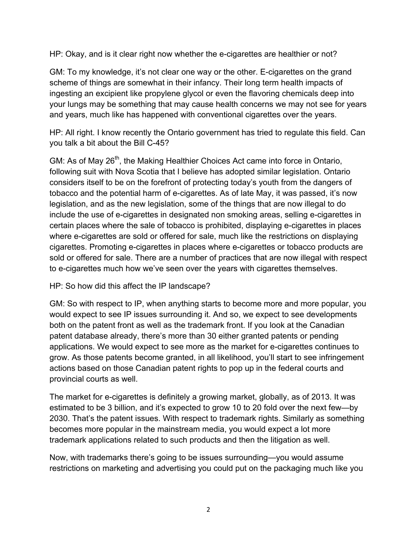HP: Okay, and is it clear right now whether the e-cigarettes are healthier or not?

GM: To my knowledge, it's not clear one way or the other. E-cigarettes on the grand scheme of things are somewhat in their infancy. Their long term health impacts of ingesting an excipient like propylene glycol or even the flavoring chemicals deep into your lungs may be something that may cause health concerns we may not see for years and years, much like has happened with conventional cigarettes over the years.

HP: All right. I know recently the Ontario government has tried to regulate this field. Can you talk a bit about the Bill C-45?

GM: As of May 26<sup>th</sup>, the Making Healthier Choices Act came into force in Ontario, following suit with Nova Scotia that I believe has adopted similar legislation. Ontario considers itself to be on the forefront of protecting today's youth from the dangers of tobacco and the potential harm of e-cigarettes. As of late May, it was passed, it's now legislation, and as the new legislation, some of the things that are now illegal to do include the use of e-cigarettes in designated non smoking areas, selling e-cigarettes in certain places where the sale of tobacco is prohibited, displaying e-cigarettes in places where e-cigarettes are sold or offered for sale, much like the restrictions on displaying cigarettes. Promoting e-cigarettes in places where e-cigarettes or tobacco products are sold or offered for sale. There are a number of practices that are now illegal with respect to e-cigarettes much how we've seen over the years with cigarettes themselves.

HP: So how did this affect the IP landscape?

GM: So with respect to IP, when anything starts to become more and more popular, you would expect to see IP issues surrounding it. And so, we expect to see developments both on the patent front as well as the trademark front. If you look at the Canadian patent database already, there's more than 30 either granted patents or pending applications. We would expect to see more as the market for e-cigarettes continues to grow. As those patents become granted, in all likelihood, you'll start to see infringement actions based on those Canadian patent rights to pop up in the federal courts and provincial courts as well.

The market for e-cigarettes is definitely a growing market, globally, as of 2013. It was estimated to be 3 billion, and it's expected to grow 10 to 20 fold over the next few—by 2030. That's the patent issues. With respect to trademark rights. Similarly as something becomes more popular in the mainstream media, you would expect a lot more trademark applications related to such products and then the litigation as well.

Now, with trademarks there's going to be issues surrounding—you would assume restrictions on marketing and advertising you could put on the packaging much like you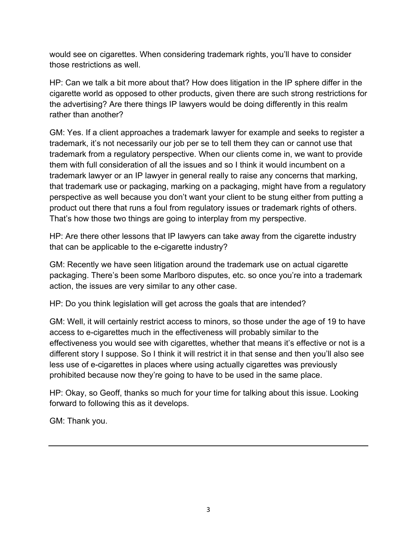would see on cigarettes. When considering trademark rights, you'll have to consider those restrictions as well.

HP: Can we talk a bit more about that? How does litigation in the IP sphere differ in the cigarette world as opposed to other products, given there are such strong restrictions for the advertising? Are there things IP lawyers would be doing differently in this realm rather than another?

GM: Yes. If a client approaches a trademark lawyer for example and seeks to register a trademark, it's not necessarily our job per se to tell them they can or cannot use that trademark from a regulatory perspective. When our clients come in, we want to provide them with full consideration of all the issues and so I think it would incumbent on a trademark lawyer or an IP lawyer in general really to raise any concerns that marking, that trademark use or packaging, marking on a packaging, might have from a regulatory perspective as well because you don't want your client to be stung either from putting a product out there that runs a foul from regulatory issues or trademark rights of others. That's how those two things are going to interplay from my perspective.

HP: Are there other lessons that IP lawyers can take away from the cigarette industry that can be applicable to the e-cigarette industry?

GM: Recently we have seen litigation around the trademark use on actual cigarette packaging. There's been some Marlboro disputes, etc. so once you're into a trademark action, the issues are very similar to any other case.

HP: Do you think legislation will get across the goals that are intended?

GM: Well, it will certainly restrict access to minors, so those under the age of 19 to have access to e-cigarettes much in the effectiveness will probably similar to the effectiveness you would see with cigarettes, whether that means it's effective or not is a different story I suppose. So I think it will restrict it in that sense and then you'll also see less use of e-cigarettes in places where using actually cigarettes was previously prohibited because now they're going to have to be used in the same place.

HP: Okay, so Geoff, thanks so much for your time for talking about this issue. Looking forward to following this as it develops.

GM: Thank you.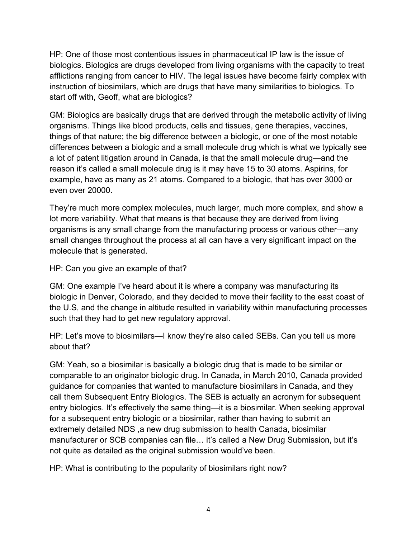HP: One of those most contentious issues in pharmaceutical IP law is the issue of biologics. Biologics are drugs developed from living organisms with the capacity to treat afflictions ranging from cancer to HIV. The legal issues have become fairly complex with instruction of biosimilars, which are drugs that have many similarities to biologics. To start off with, Geoff, what are biologics?

GM: Biologics are basically drugs that are derived through the metabolic activity of living organisms. Things like blood products, cells and tissues, gene therapies, vaccines, things of that nature; the big difference between a biologic, or one of the most notable differences between a biologic and a small molecule drug which is what we typically see a lot of patent litigation around in Canada, is that the small molecule drug—and the reason it's called a small molecule drug is it may have 15 to 30 atoms. Aspirins, for example, have as many as 21 atoms. Compared to a biologic, that has over 3000 or even over 20000.

They're much more complex molecules, much larger, much more complex, and show a lot more variability. What that means is that because they are derived from living organisms is any small change from the manufacturing process or various other—any small changes throughout the process at all can have a very significant impact on the molecule that is generated.

HP: Can you give an example of that?

GM: One example I've heard about it is where a company was manufacturing its biologic in Denver, Colorado, and they decided to move their facility to the east coast of the U.S, and the change in altitude resulted in variability within manufacturing processes such that they had to get new regulatory approval.

HP: Let's move to biosimilars—I know they're also called SEBs. Can you tell us more about that?

GM: Yeah, so a biosimilar is basically a biologic drug that is made to be similar or comparable to an originator biologic drug. In Canada, in March 2010, Canada provided guidance for companies that wanted to manufacture biosimilars in Canada, and they call them Subsequent Entry Biologics. The SEB is actually an acronym for subsequent entry biologics. It's effectively the same thing—it is a biosimilar. When seeking approval for a subsequent entry biologic or a biosimilar, rather than having to submit an extremely detailed NDS ,a new drug submission to health Canada, biosimilar manufacturer or SCB companies can file… it's called a New Drug Submission, but it's not quite as detailed as the original submission would've been.

HP: What is contributing to the popularity of biosimilars right now?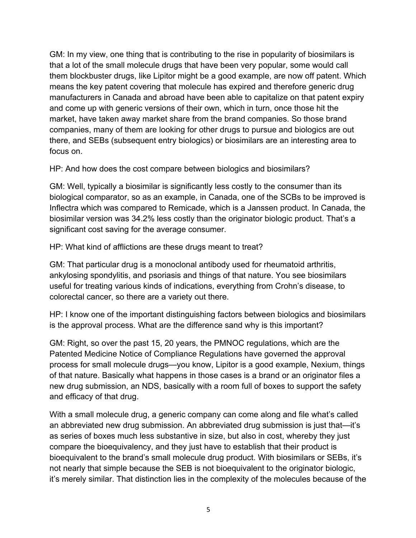GM: In my view, one thing that is contributing to the rise in popularity of biosimilars is that a lot of the small molecule drugs that have been very popular, some would call them blockbuster drugs, like Lipitor might be a good example, are now off patent. Which means the key patent covering that molecule has expired and therefore generic drug manufacturers in Canada and abroad have been able to capitalize on that patent expiry and come up with generic versions of their own, which in turn, once those hit the market, have taken away market share from the brand companies. So those brand companies, many of them are looking for other drugs to pursue and biologics are out there, and SEBs (subsequent entry biologics) or biosimilars are an interesting area to focus on.

HP: And how does the cost compare between biologics and biosimilars?

GM: Well, typically a biosimilar is significantly less costly to the consumer than its biological comparator, so as an example, in Canada, one of the SCBs to be improved is Inflectra which was compared to Remicade, which is a Janssen product. In Canada, the biosimilar version was 34.2% less costly than the originator biologic product. That's a significant cost saving for the average consumer.

HP: What kind of afflictions are these drugs meant to treat?

GM: That particular drug is a monoclonal antibody used for rheumatoid arthritis, ankylosing spondylitis, and psoriasis and things of that nature. You see biosimilars useful for treating various kinds of indications, everything from Crohn's disease, to colorectal cancer, so there are a variety out there.

HP: I know one of the important distinguishing factors between biologics and biosimilars is the approval process. What are the difference sand why is this important?

GM: Right, so over the past 15, 20 years, the PMNOC regulations, which are the Patented Medicine Notice of Compliance Regulations have governed the approval process for small molecule drugs—you know, Lipitor is a good example, Nexium, things of that nature. Basically what happens in those cases is a brand or an originator files a new drug submission, an NDS, basically with a room full of boxes to support the safety and efficacy of that drug.

With a small molecule drug, a generic company can come along and file what's called an abbreviated new drug submission. An abbreviated drug submission is just that—it's as series of boxes much less substantive in size, but also in cost, whereby they just compare the bioequivalency, and they just have to establish that their product is bioequivalent to the brand's small molecule drug product. With biosimilars or SEBs, it's not nearly that simple because the SEB is not bioequivalent to the originator biologic, it's merely similar. That distinction lies in the complexity of the molecules because of the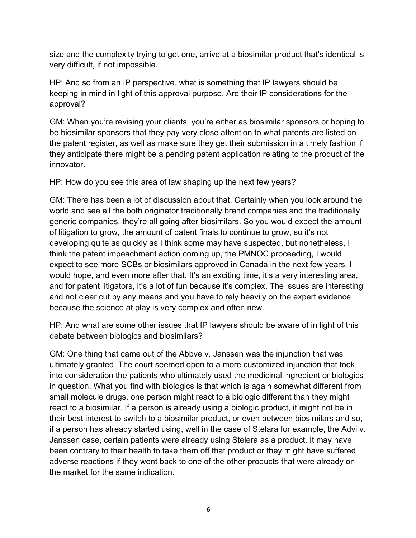size and the complexity trying to get one, arrive at a biosimilar product that's identical is very difficult, if not impossible.

HP: And so from an IP perspective, what is something that IP lawyers should be keeping in mind in light of this approval purpose. Are their IP considerations for the approval?

GM: When you're revising your clients, you're either as biosimilar sponsors or hoping to be biosimilar sponsors that they pay very close attention to what patents are listed on the patent register, as well as make sure they get their submission in a timely fashion if they anticipate there might be a pending patent application relating to the product of the innovator.

HP: How do you see this area of law shaping up the next few years?

GM: There has been a lot of discussion about that. Certainly when you look around the world and see all the both originator traditionally brand companies and the traditionally generic companies, they're all going after biosimilars. So you would expect the amount of litigation to grow, the amount of patent finals to continue to grow, so it's not developing quite as quickly as I think some may have suspected, but nonetheless, I think the patent impeachment action coming up, the PMNOC proceeding, I would expect to see more SCBs or biosimilars approved in Canada in the next few years, I would hope, and even more after that. It's an exciting time, it's a very interesting area, and for patent litigators, it's a lot of fun because it's complex. The issues are interesting and not clear cut by any means and you have to rely heavily on the expert evidence because the science at play is very complex and often new.

HP: And what are some other issues that IP lawyers should be aware of in light of this debate between biologics and biosimilars?

GM: One thing that came out of the Abbve v. Janssen was the injunction that was ultimately granted. The court seemed open to a more customized injunction that took into consideration the patients who ultimately used the medicinal ingredient or biologics in question. What you find with biologics is that which is again somewhat different from small molecule drugs, one person might react to a biologic different than they might react to a biosimilar. If a person is already using a biologic product, it might not be in their best interest to switch to a biosimilar product, or even between biosimilars and so, if a person has already started using, well in the case of Stelara for example, the Advi v. Janssen case, certain patients were already using Stelera as a product. It may have been contrary to their health to take them off that product or they might have suffered adverse reactions if they went back to one of the other products that were already on the market for the same indication.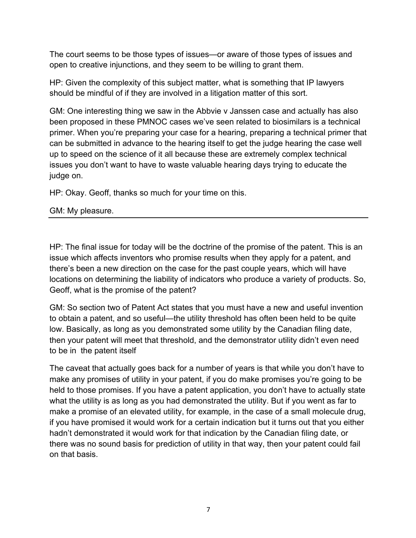The court seems to be those types of issues—or aware of those types of issues and open to creative injunctions, and they seem to be willing to grant them.

HP: Given the complexity of this subject matter, what is something that IP lawyers should be mindful of if they are involved in a litigation matter of this sort.

GM: One interesting thing we saw in the Abbvie v Janssen case and actually has also been proposed in these PMNOC cases we've seen related to biosimilars is a technical primer. When you're preparing your case for a hearing, preparing a technical primer that can be submitted in advance to the hearing itself to get the judge hearing the case well up to speed on the science of it all because these are extremely complex technical issues you don't want to have to waste valuable hearing days trying to educate the judge on.

HP: Okay. Geoff, thanks so much for your time on this.

GM: My pleasure.

HP: The final issue for today will be the doctrine of the promise of the patent. This is an issue which affects inventors who promise results when they apply for a patent, and there's been a new direction on the case for the past couple years, which will have locations on determining the liability of indicators who produce a variety of products. So, Geoff, what is the promise of the patent?

GM: So section two of Patent Act states that you must have a new and useful invention to obtain a patent, and so useful—the utility threshold has often been held to be quite low. Basically, as long as you demonstrated some utility by the Canadian filing date, then your patent will meet that threshold, and the demonstrator utility didn't even need to be in the patent itself

The caveat that actually goes back for a number of years is that while you don't have to make any promises of utility in your patent, if you do make promises you're going to be held to those promises. If you have a patent application, you don't have to actually state what the utility is as long as you had demonstrated the utility. But if you went as far to make a promise of an elevated utility, for example, in the case of a small molecule drug, if you have promised it would work for a certain indication but it turns out that you either hadn't demonstrated it would work for that indication by the Canadian filing date, or there was no sound basis for prediction of utility in that way, then your patent could fail on that basis.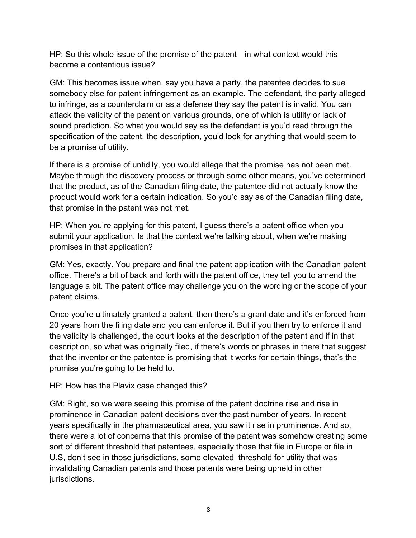HP: So this whole issue of the promise of the patent—in what context would this become a contentious issue?

GM: This becomes issue when, say you have a party, the patentee decides to sue somebody else for patent infringement as an example. The defendant, the party alleged to infringe, as a counterclaim or as a defense they say the patent is invalid. You can attack the validity of the patent on various grounds, one of which is utility or lack of sound prediction. So what you would say as the defendant is you'd read through the specification of the patent, the description, you'd look for anything that would seem to be a promise of utility.

If there is a promise of untidily, you would allege that the promise has not been met. Maybe through the discovery process or through some other means, you've determined that the product, as of the Canadian filing date, the patentee did not actually know the product would work for a certain indication. So you'd say as of the Canadian filing date, that promise in the patent was not met.

HP: When you're applying for this patent, I guess there's a patent office when you submit your application. Is that the context we're talking about, when we're making promises in that application?

GM: Yes, exactly. You prepare and final the patent application with the Canadian patent office. There's a bit of back and forth with the patent office, they tell you to amend the language a bit. The patent office may challenge you on the wording or the scope of your patent claims.

Once you're ultimately granted a patent, then there's a grant date and it's enforced from 20 years from the filing date and you can enforce it. But if you then try to enforce it and the validity is challenged, the court looks at the description of the patent and if in that description, so what was originally filed, if there's words or phrases in there that suggest that the inventor or the patentee is promising that it works for certain things, that's the promise you're going to be held to.

HP: How has the Plavix case changed this?

GM: Right, so we were seeing this promise of the patent doctrine rise and rise in prominence in Canadian patent decisions over the past number of years. In recent years specifically in the pharmaceutical area, you saw it rise in prominence. And so, there were a lot of concerns that this promise of the patent was somehow creating some sort of different threshold that patentees, especially those that file in Europe or file in U.S, don't see in those jurisdictions, some elevated threshold for utility that was invalidating Canadian patents and those patents were being upheld in other jurisdictions.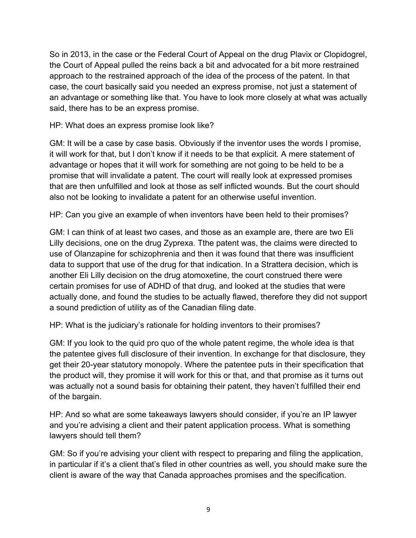So in 2013, in the case or the Federal Court of Appeal on the drug Plavix or Clopidogrel, the Court of Appeal pulled the reins back a bit and advocated for a bit more restrained approach to the restrained approach of the idea of the process of the patent. In that case, the court basically said you needed an express promise, not just a statement of an advantage or something like that. You have to look more closely at what was actually said, there has to be an express promise.

HP: What does an express promise look like?

GM: It will be a case by case basis. Obviously if the inventor uses the words I promise, it will work for that, but I don't know if it needs to be that explicit. A mere statement of advantage or hopes that it will work for something are not going to be held to be a promise that will invalidate a patent. The court will really look at expressed promises that are then unfulfilled and look at those as self inflicted wounds. But the court should also not be looking to invalidate a patent for an otherwise useful invention.

HP: Can you give an example of when inventors have been held to their promises?

GM: I can think of at least two cases, and those as an example are, there are two Eli Lilly decisions, one on the drug Zyprexa. Tthe patent was, the claims were directed to use of Olanzapine for schizophrenia and then it was found that there was insufficient data to support that use of the drug for that indication. In a Strattera decision, which is another Eli Lilly decision on the drug atomoxetine, the court construed there were certain promises for use of ADHD of that drug, and looked at the studies that were actually done, and found the studies to be actually flawed, therefore they did not support a sound prediction of utility as of the Canadian filing date.

HP: What is the judiciary's rationale for holding inventors to their promises?

GM: If you look to the quid pro quo of the whole patent regime, the whole idea is that the patentee gives full disclosure of their invention. In exchange for that disclosure, they get their 20-year statutory monopoly. Where the patentee puts in their specification that the product will, they promise it will work for this or that, and that promise as it turns out was actually not a sound basis for obtaining their patent, they haven't fulfilled their end of the bargain.

HP: And so what are some takeaways lawyers should consider, if you're an IP lawyer and you're advising a client and their patent application process. What is something lawyers should tell them?

GM: So if you're advising your client with respect to preparing and filing the application, in particular if it's a client that's filed in other countries as well, you should make sure the client is aware of the way that Canada approaches promises and the specification.